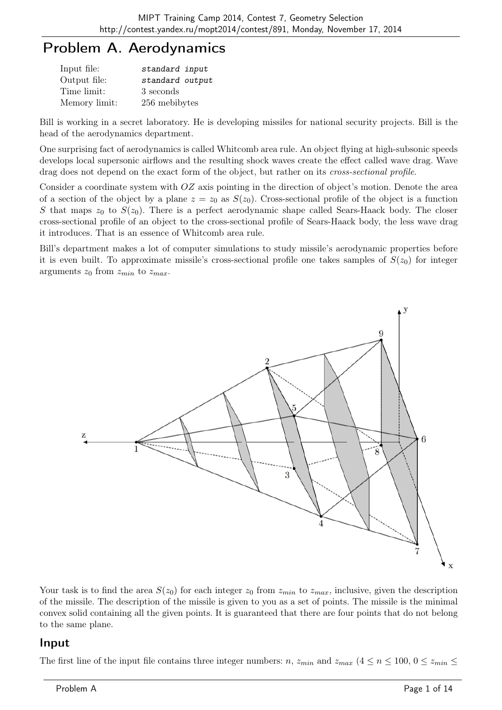## Problem A. Aerodynamics

| Input file:   | standard input  |
|---------------|-----------------|
| Output file:  | standard output |
| Time limit:   | 3 seconds       |
| Memory limit: | 256 mebibytes   |

Bill is working in a secret laboratory. He is developing missiles for national security projects. Bill is the head of the aerodynamics department.

One surprising fact of aerodynamics is called Whitcomb area rule. An object flying at high-subsonic speeds develops local supersonic airflows and the resulting shock waves create the effect called wave drag. Wave drag does not depend on the exact form of the object, but rather on its *cross-sectional profile*.

Consider a coordinate system with OZ axis pointing in the direction of object's motion. Denote the area of a section of the object by a plane  $z = z_0$  as  $S(z_0)$ . Cross-sectional profile of the object is a function S that maps  $z_0$  to  $S(z_0)$ . There is a perfect aerodynamic shape called Sears-Haack body. The closer cross-sectional profile of an object to the cross-sectional profile of Sears-Haack body, the less wave drag it introduces. That is an essence of Whitcomb area rule.

Bill's department makes a lot of computer simulations to study missile's aerodynamic properties before it is even built. To approximate missile's cross-sectional profile one takes samples of  $S(z_0)$  for integer arguments  $z_0$  from  $z_{min}$  to  $z_{max}$ .



Your task is to find the area  $S(z_0)$  for each integer  $z_0$  from  $z_{min}$  to  $z_{max}$ , inclusive, given the description of the missile. The description of the missile is given to you as a set of points. The missile is the minimal convex solid containing all the given points. It is guaranteed that there are four points that do not belong to the same plane.

#### Input

The first line of the input file contains three integer numbers: n,  $z_{min}$  and  $z_{max}$  ( $4 \le n \le 100$ ,  $0 \le z_{min} \le$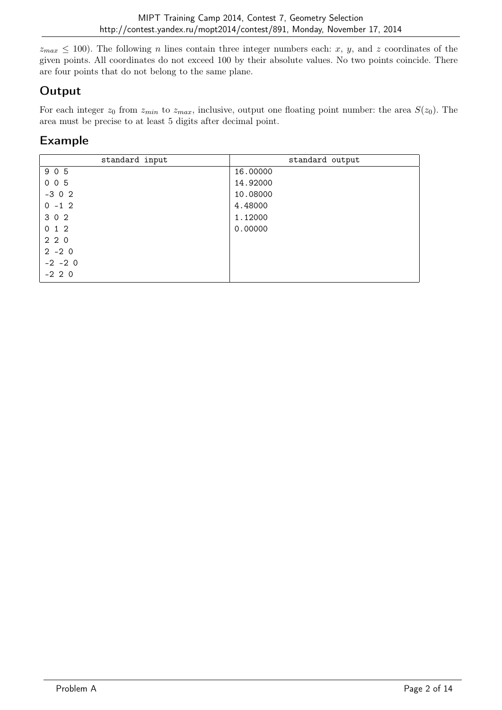$z_{max} \leq 100$ ). The following *n* lines contain three integer numbers each: x, y, and z coordinates of the given points. All coordinates do not exceed 100 by their absolute values. No two points coincide. There are four points that do not belong to the same plane.

### **Output**

For each integer  $z_0$  from  $z_{min}$  to  $z_{max}$ , inclusive, output one floating point number: the area  $S(z_0)$ . The area must be precise to at least 5 digits after decimal point.

| standard input | standard output |
|----------------|-----------------|
| 905            | 16.00000        |
| 005            | 14.92000        |
| $-302$         | 10.08000        |
| $0 - 12$       | 4.48000         |
| 302            | 1.12000         |
| 012            | 0.00000         |
| 220            |                 |
| $2 - 2 0$      |                 |
| $-2$ $-2$ 0    |                 |
| $-2$ 2 0       |                 |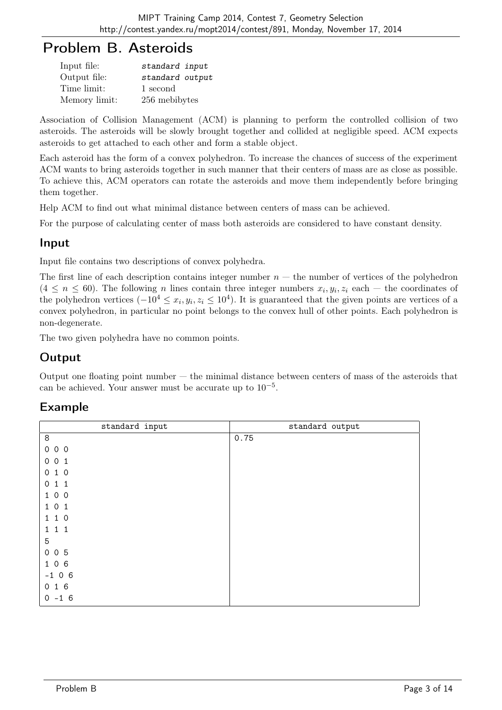## Problem B. Asteroids

| Input file:   | standard input  |
|---------------|-----------------|
| Output file:  | standard output |
| Time limit:   | 1 second        |
| Memory limit: | 256 mebibytes   |

Association of Collision Management (ACM) is planning to perform the controlled collision of two asteroids. The asteroids will be slowly brought together and collided at negligible speed. ACM expects asteroids to get attached to each other and form a stable object.

Each asteroid has the form of a convex polyhedron. To increase the chances of success of the experiment ACM wants to bring asteroids together in such manner that their centers of mass are as close as possible. To achieve this, ACM operators can rotate the asteroids and move them independently before bringing them together.

Help ACM to find out what minimal distance between centers of mass can be achieved.

For the purpose of calculating center of mass both asteroids are considered to have constant density.

#### Input

Input file contains two descriptions of convex polyhedra.

The first line of each description contains integer number  $n -$  the number of vertices of the polyhedron  $(4 \leq n \leq 60)$ . The following *n* lines contain three integer numbers  $x_i, y_i, z_i$  each – the coordinates of the polyhedron vertices  $(-10^4 \le x_i, y_i, z_i \le 10^4)$ . It is guaranteed that the given points are vertices of a convex polyhedron, in particular no point belongs to the convex hull of other points. Each polyhedron is non-degenerate.

The two given polyhedra have no common points.

### **Output**

Output one floating point number  $-$  the minimal distance between centers of mass of the asteroids that can be achieved. Your answer must be accurate up to 10−<sup>5</sup> .

| standard output |
|-----------------|
| 0.75            |
|                 |
|                 |
|                 |
|                 |
|                 |
|                 |
|                 |
|                 |
|                 |
|                 |
|                 |
|                 |
|                 |
|                 |
|                 |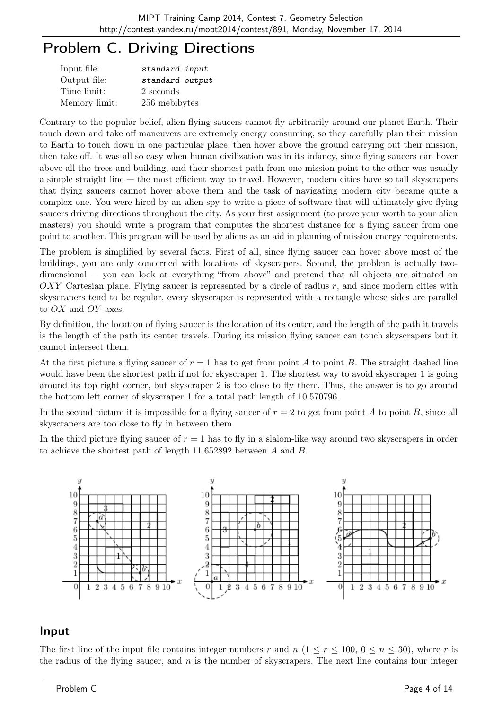# Problem C. Driving Directions

| Input file:   | standard input  |
|---------------|-----------------|
| Output file:  | standard output |
| Time limit:   | 2 seconds       |
| Memory limit: | 256 mebibytes   |

Contrary to the popular belief, alien flying saucers cannot fly arbitrarily around our planet Earth. Their touch down and take off maneuvers are extremely energy consuming, so they carefully plan their mission to Earth to touch down in one particular place, then hover above the ground carrying out their mission, then take off. It was all so easy when human civilization was in its infancy, since flying saucers can hover above all the trees and building, and their shortest path from one mission point to the other was usually a simple straight line — the most efficient way to travel. However, modern cities have so tall skyscrapers that flying saucers cannot hover above them and the task of navigating modern city became quite a complex one. You were hired by an alien spy to write a piece of software that will ultimately give flying saucers driving directions throughout the city. As your first assignment (to prove your worth to your alien masters) you should write a program that computes the shortest distance for a flying saucer from one point to another. This program will be used by aliens as an aid in planning of mission energy requirements.

The problem is simplified by several facts. First of all, since flying saucer can hover above most of the buildings, you are only concerned with locations of skyscrapers. Second, the problem is actually twodimensional — you can look at everything "from above" and pretend that all objects are situated on  $OXY$  Cartesian plane. Flying saucer is represented by a circle of radius r, and since modern cities with skyscrapers tend to be regular, every skyscraper is represented with a rectangle whose sides are parallel to OX and OY axes.

By definition, the location of flying saucer is the location of its center, and the length of the path it travels is the length of the path its center travels. During its mission flying saucer can touch skyscrapers but it cannot intersect them.

At the first picture a flying saucer of  $r = 1$  has to get from point A to point B. The straight dashed line would have been the shortest path if not for skyscraper 1. The shortest way to avoid skyscraper 1 is going around its top right corner, but skyscraper 2 is too close to fly there. Thus, the answer is to go around the bottom left corner of skyscraper 1 for a total path length of 10.570796.

In the second picture it is impossible for a flying saucer of  $r = 2$  to get from point A to point B, since all skyscrapers are too close to fly in between them.

In the third picture flying saucer of  $r = 1$  has to fly in a slalom-like way around two skyscrapers in order to achieve the shortest path of length 11.652892 between A and B.



#### Input

The first line of the input file contains integer numbers r and  $n (1 \le r \le 100, 0 \le n \le 30)$ , where r is the radius of the flying saucer, and  $n$  is the number of skyscrapers. The next line contains four integer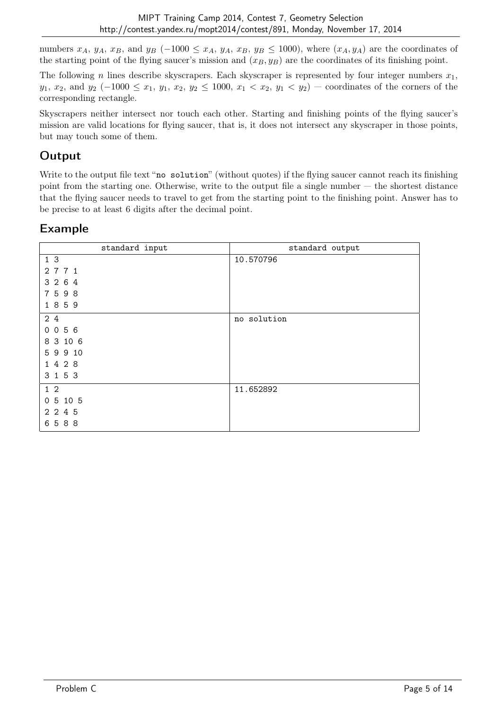numbers  $x_A$ ,  $y_A$ ,  $x_B$ , and  $y_B$  (-1000 ≤  $x_A$ ,  $y_A$ ,  $x_B$ ,  $y_B$  ≤ 1000), where  $(x_A, y_A)$  are the coordinates of the starting point of the flying saucer's mission and  $(x_B, y_B)$  are the coordinates of its finishing point.

The following n lines describe skyscrapers. Each skyscraper is represented by four integer numbers  $x_1$ ,  $y_1, x_2,$  and  $y_2$  (-1000  $\leq x_1, y_1, x_2, y_2 \leq 1000, x_1 < x_2, y_1 < y_2$ ) — coordinates of the corners of the corresponding rectangle.

Skyscrapers neither intersect nor touch each other. Starting and finishing points of the flying saucer's mission are valid locations for flying saucer, that is, it does not intersect any skyscraper in those points, but may touch some of them.

#### **Output**

Write to the output file text "no solution" (without quotes) if the flying saucer cannot reach its finishing point from the starting one. Otherwise, write to the output file a single number  $-$  the shortest distance that the flying saucer needs to travel to get from the starting point to the finishing point. Answer has to be precise to at least 6 digits after the decimal point.

| standard input      | standard output |
|---------------------|-----------------|
| 1 <sub>3</sub>      | 10.570796       |
| 2 7 7 1             |                 |
| 3 2 6 4             |                 |
| 7598                |                 |
| 1859                |                 |
| 2 4                 | no solution     |
| 056<br>$\mathbf{0}$ |                 |
| 8 3 10 6            |                 |
| 5 9 9 10            |                 |
| 1428                |                 |
| 3 1 5 3             |                 |
| $1\quad2$           | 11.652892       |
| 0 5 10 5            |                 |
| 2 2 4 5             |                 |
| 6588                |                 |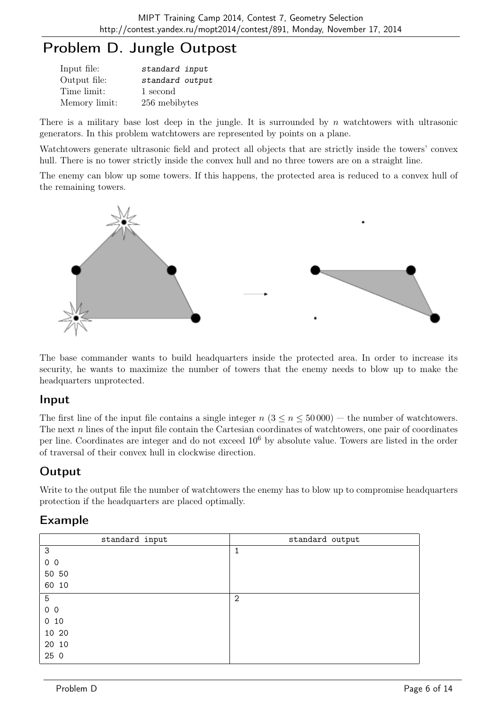# Problem D. Jungle Outpost

| Input file:   | standard input  |
|---------------|-----------------|
| Output file:  | standard output |
| Time limit:   | 1 second        |
| Memory limit: | 256 mebibytes   |

There is a military base lost deep in the jungle. It is surrounded by  $n$  watchtowers with ultrasonic generators. In this problem watchtowers are represented by points on a plane.

Watchtowers generate ultrasonic field and protect all objects that are strictly inside the towers' convex hull. There is no tower strictly inside the convex hull and no three towers are on a straight line.

The enemy can blow up some towers. If this happens, the protected area is reduced to a convex hull of the remaining towers.



The base commander wants to build headquarters inside the protected area. In order to increase its security, he wants to maximize the number of towers that the enemy needs to blow up to make the headquarters unprotected.

#### Input

The first line of the input file contains a single integer  $n (3 \le n \le 50000)$  — the number of watchtowers. The next n lines of the input file contain the Cartesian coordinates of watchtowers, one pair of coordinates per line. Coordinates are integer and do not exceed 10<sup>6</sup> by absolute value. Towers are listed in the order of traversal of their convex hull in clockwise direction.

### **Output**

Write to the output file the number of watchtowers the enemy has to blow up to compromise headquarters protection if the headquarters are placed optimally.

| standard input | standard output |
|----------------|-----------------|
| 3              | 1               |
| 0 <sub>0</sub> |                 |
| 50 50          |                 |
| 60 10          |                 |
| $\overline{5}$ | $\mathbf{2}$    |
| $0\quad 0$     |                 |
| $0$ 10         |                 |
| 10 20          |                 |
| 20 10          |                 |
| 25 0           |                 |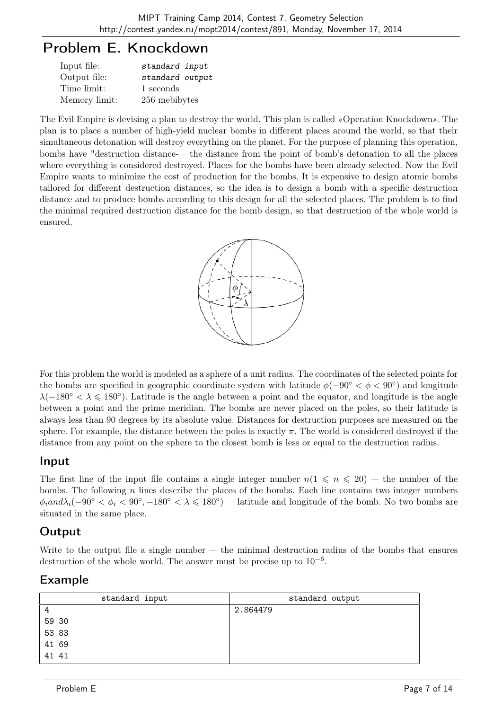## Problem E. Knockdown

| Input file:   | standard input  |
|---------------|-----------------|
| Output file:  | standard output |
| Time limit:   | 1 seconds       |
| Memory limit: | 256 mebibytes   |

The Evil Empire is devising a plan to destroy the world. This plan is called «Operation Knockdown». The plan is to place a number of high-yield nuclear bombs in different places around the world, so that their simultaneous detonation will destroy everything on the planet. For the purpose of planning this operation, bombs have "destruction distance-— the distance from the point of bomb's detonation to all the places where everything is considered destroyed. Places for the bombs have been already selected. Now the Evil Empire wants to minimize the cost of production for the bombs. It is expensive to design atomic bombs tailored for different destruction distances, so the idea is to design a bomb with a specific destruction distance and to produce bombs according to this design for all the selected places. The problem is to find the minimal required destruction distance for the bomb design, so that destruction of the whole world is ensured.



For this problem the world is modeled as a sphere of a unit radius. The coordinates of the selected points for the bombs are specified in geographic coordinate system with latitude  $\phi(-90^{\circ} < \phi < 90^{\circ})$  and longitude  $\lambda(-180° < \lambda \leq 180°)$ . Latitude is the angle between a point and the equator, and longitude is the angle between a point and the prime meridian. The bombs are never placed on the poles, so their latitude is always less than 90 degrees by its absolute value. Distances for destruction purposes are measured on the sphere. For example, the distance between the poles is exactly  $\pi$ . The world is considered destroyed if the distance from any point on the sphere to the closest bomb is less or equal to the destruction radius.

#### Input

The first line of the input file contains a single integer number  $n(1 \leq n \leq 20)$  — the number of the bombs. The following  $n$  lines describe the places of the bombs. Each line contains two integer numbers  $\phi_i$ and $\lambda_i$ (-90° <  $\phi_i$  < 90°, -180° <  $\lambda \leq 180$ °) – latitude and longitude of the bomb. No two bombs are situated in the same place.

### **Output**

Write to the output file a single number  $-$  the minimal destruction radius of the bombs that ensures destruction of the whole world. The answer must be precise up to  $10^{-6}$ .

| standard input | standard output |
|----------------|-----------------|
| 4              | 2.864479        |
| 59 30          |                 |
| 5383           |                 |
| 41 69          |                 |
| 41 41          |                 |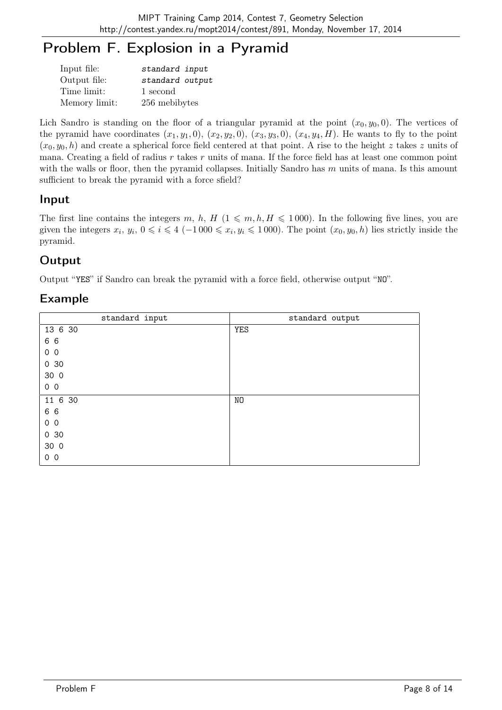# Problem F. Explosion in a Pyramid

| Input file:   | standard input  |
|---------------|-----------------|
| Output file:  | standard output |
| Time limit:   | 1 second        |
| Memory limit: | 256 mebibytes   |

Lich Sandro is standing on the floor of a triangular pyramid at the point  $(x_0, y_0, 0)$ . The vertices of the pyramid have coordinates  $(x_1, y_1, 0), (x_2, y_2, 0), (x_3, y_3, 0), (x_4, y_4, H)$ . He wants to fly to the point  $(x_0, y_0, h)$  and create a spherical force field centered at that point. A rise to the height z takes z units of mana. Creating a field of radius  $r$  takes  $r$  units of mana. If the force field has at least one common point with the walls or floor, then the pyramid collapses. Initially Sandro has  $m$  units of mana. Is this amount sufficient to break the pyramid with a force sfield?

### Input

The first line contains the integers m, h, H  $(1 \leq m, h, H \leq 1000)$ . In the following five lines, you are given the integers  $x_i, y_i, 0 \leq i \leq 4 \ (-1000 \leq x_i, y_i \leq 1000)$ . The point  $(x_0, y_0, h)$  lies strictly inside the pyramid.

## **Output**

Output "YES" if Sandro can break the pyramid with a force field, otherwise output "NO".

| standard input  | standard output |
|-----------------|-----------------|
| 13 6 30         | <b>YES</b>      |
| 6 6             |                 |
| 0 <sub>0</sub>  |                 |
| 030             |                 |
| 30 0            |                 |
| 0 <sub>0</sub>  |                 |
| 11 6 30         | NO              |
| 6 6             |                 |
| 0 <sub>0</sub>  |                 |
| 0 <sub>30</sub> |                 |
| 30 0            |                 |
| 0 <sub>0</sub>  |                 |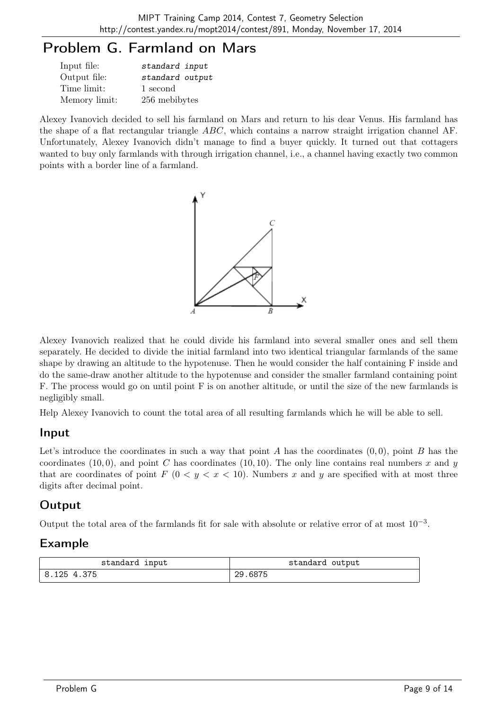# Problem G. Farmland on Mars

| Input file:   | standard input  |
|---------------|-----------------|
| Output file:  | standard output |
| Time limit:   | 1 second        |
| Memory limit: | 256 mebibytes   |

Alexey Ivanovich decided to sell his farmland on Mars and return to his dear Venus. His farmland has the shape of a flat rectangular triangle ABC, which contains a narrow straight irrigation channel AF. Unfortunately, Alexey Ivanovich didn't manage to find a buyer quickly. It turned out that cottagers wanted to buy only farmlands with through irrigation channel, i.e., a channel having exactly two common points with a border line of a farmland.



Alexey Ivanovich realized that he could divide his farmland into several smaller ones and sell them separately. He decided to divide the initial farmland into two identical triangular farmlands of the same shape by drawing an altitude to the hypotenuse. Then he would consider the half containing F inside and do the same-draw another altitude to the hypotenuse and consider the smaller farmland containing point F. The process would go on until point F is on another altitude, or until the size of the new farmlands is negligibly small.

Help Alexey Ivanovich to count the total area of all resulting farmlands which he will be able to sell.

#### Input

Let's introduce the coordinates in such a way that point A has the coordinates  $(0, 0)$ , point B has the coordinates (10, 0), and point C has coordinates (10, 10). The only line contains real numbers x and y that are coordinates of point  $F (0 < y < x < 10)$ . Numbers x and y are specified with at most three digits after decimal point.

### **Output**

Output the total area of the farmlands fit for sale with absolute or relative error of at most  $10^{-3}$ .

| standard input | standard output |
|----------------|-----------------|
| 8.125 4.375 "  | 29.6875         |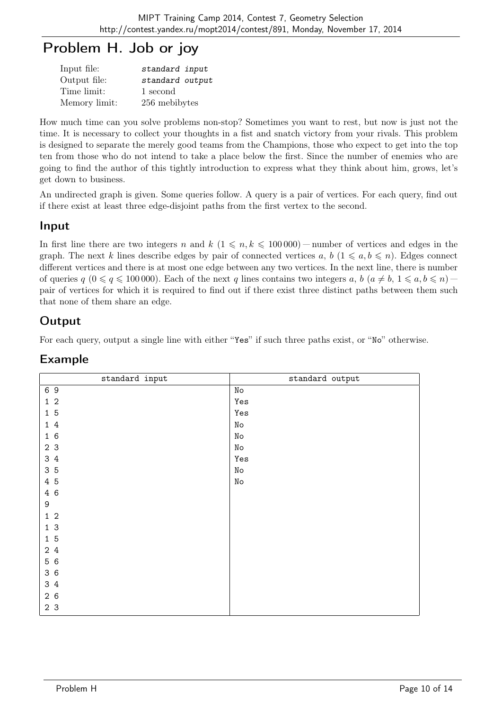# Problem H. Job or joy

| Input file:   | standard input  |
|---------------|-----------------|
| Output file:  | standard output |
| Time limit:   | 1 second        |
| Memory limit: | 256 mebibytes   |

How much time can you solve problems non-stop? Sometimes you want to rest, but now is just not the time. It is necessary to collect your thoughts in a fist and snatch victory from your rivals. This problem is designed to separate the merely good teams from the Champions, those who expect to get into the top ten from those who do not intend to take a place below the first. Since the number of enemies who are going to find the author of this tightly introduction to express what they think about him, grows, let's get down to business.

An undirected graph is given. Some queries follow. A query is a pair of vertices. For each query, find out if there exist at least three edge-disjoint paths from the first vertex to the second.

### Input

In first line there are two integers n and  $k$  ( $1 \leq n, k \leq 100000$ ) — number of vertices and edges in the graph. The next k lines describe edges by pair of connected vertices a, b  $(1 \leq a, b \leq n)$ . Edges connect different vertices and there is at most one edge between any two vertices. In the next line, there is number of queries  $q$   $(0 \le q \le 100000)$ . Each of the next q lines contains two integers a,  $b$   $(a \ne b, 1 \le a, b \le n)$  – pair of vertices for which it is required to find out if there exist three distinct paths between them such that none of them share an edge.

### **Output**

For each query, output a single line with either "Yes" if such three paths exist, or "No" otherwise.

| standard input | standard output    |
|----------------|--------------------|
| 69             | No                 |
| $1\,$ $2\,$    | Yes                |
| 15             | Yes                |
| $1\,4$         | $\rm\thinspace No$ |
| 16             | No                 |
| 2 3            | $\rm\thinspace No$ |
| 3 4            | Yes                |
| 35             | $\rm\thinspace No$ |
| 4 5            | No                 |
| 4 6            |                    |
| 9              |                    |
| $1\,$ $2\,$    |                    |
| 1 <sup>3</sup> |                    |
| 15             |                    |
| 2 4            |                    |
| 5 6            |                    |
| 36             |                    |
| 3 4            |                    |
| 26             |                    |
| 2 <sub>3</sub> |                    |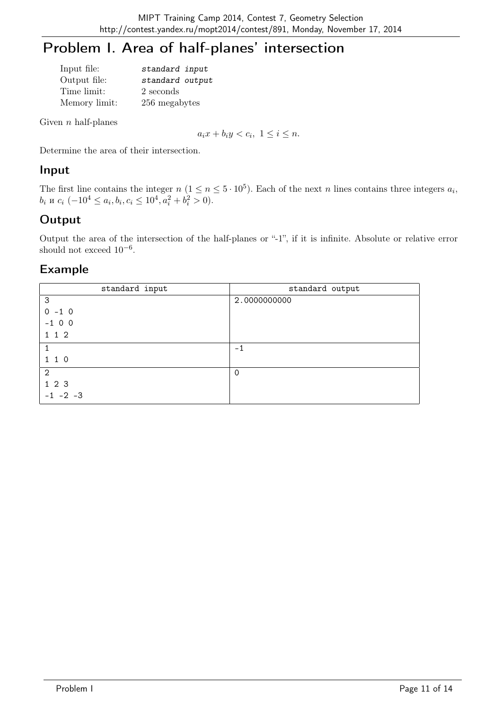# Problem I. Area of half-planes' intersection

| Input file:   | standard input  |
|---------------|-----------------|
| Output file:  | standard output |
| Time limit:   | 2 seconds       |
| Memory limit: | 256 megabytes   |

Given  $n$  half-planes

 $a_ix + b_iy < c_i, \ 1 \leq i \leq n.$ 

Determine the area of their intersection.

#### Input

The first line contains the integer  $n (1 \le n \le 5 \cdot 10^5)$ . Each of the next n lines contains three integers  $a_i$ ,  $b_i$  и  $c_i$   $(-10^4 \le a_i, b_i, c_i \le 10^4, a_i^2 + b_i^2 > 0)$ .

## **Output**

Output the area of the intersection of the half-planes or "-1", if it is infinite. Absolute or relative error should not exceed  $10^{-6}$ .

| standard input | standard output |
|----------------|-----------------|
| 3              | 2.0000000000    |
| $0 - 1 0$      |                 |
| $-100$         |                 |
| 1 1 2          |                 |
|                | $-1$            |
| 1 1 0          |                 |
| $\overline{2}$ | $\Omega$        |
| 1 2 3          |                 |
| $-1$ $-2$ $-3$ |                 |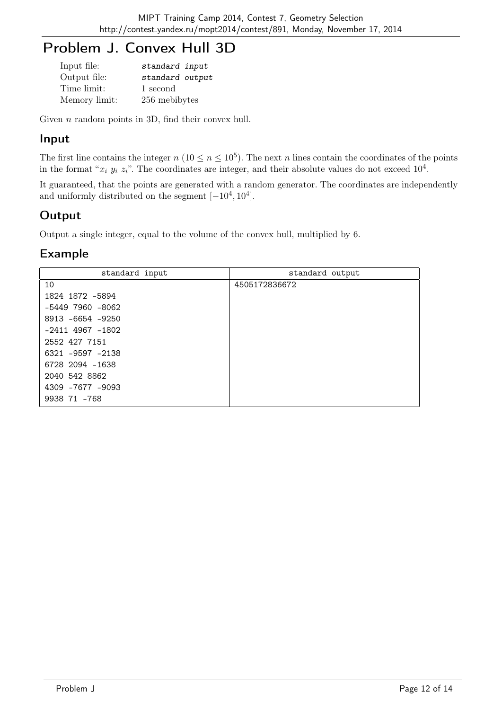# Problem J. Convex Hull 3D

| Input file:   | standard input  |
|---------------|-----------------|
| Output file:  | standard output |
| Time limit:   | 1 second        |
| Memory limit: | 256 mebibytes   |

Given *n* random points in 3D, find their convex hull.

#### Input

The first line contains the integer  $n (10 \le n \le 10^5)$ . The next n lines contain the coordinates of the points in the format " $x_i$   $y_i$   $z_i$ ". The coordinates are integer, and their absolute values do not exceed  $10^4$ .

It guaranteed, that the points are generated with a random generator. The coordinates are independently and uniformly distributed on the segment  $[-10^4, 10^4]$ .

## **Output**

Output a single integer, equal to the volume of the convex hull, multiplied by 6.

| standard input       | standard output |
|----------------------|-----------------|
| 10                   | 4505172836672   |
| 1824 1872 -5894      |                 |
| $-5449$ 7960 $-8062$ |                 |
| 8913 -6654 -9250     |                 |
| $-2411$ 4967 $-1802$ |                 |
| 2552 427 7151        |                 |
| 6321 -9597 -2138     |                 |
| 6728 2094 -1638      |                 |
| 2040 542 8862        |                 |
| 4309 -7677 -9093     |                 |
| 9938 71 -768         |                 |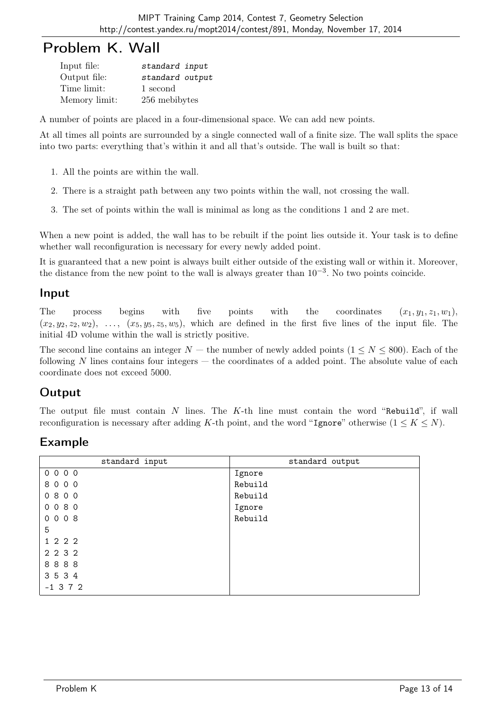## Problem K. Wall

| Input file:   | standard input  |
|---------------|-----------------|
| Output file:  | standard output |
| Time limit:   | 1 second        |
| Memory limit: | 256 mebibytes   |

A number of points are placed in a four-dimensional space. We can add new points.

At all times all points are surrounded by a single connected wall of a finite size. The wall splits the space into two parts: everything that's within it and all that's outside. The wall is built so that:

- 1. All the points are within the wall.
- 2. There is a straight path between any two points within the wall, not crossing the wall.
- 3. The set of points within the wall is minimal as long as the conditions 1 and 2 are met.

When a new point is added, the wall has to be rebuilt if the point lies outside it. Your task is to define whether wall reconfiguration is necessary for every newly added point.

It is guaranteed that a new point is always built either outside of the existing wall or within it. Moreover, the distance from the new point to the wall is always greater than  $10^{-3}$ . No two points coincide.

#### Input

The process begins with five points with the coordinates  $(x_1, y_1, z_1, w_1)$ ,  $(x_2, y_2, z_2, w_2), \ldots, (x_5, y_5, z_5, w_5)$ , which are defined in the first five lines of the input file. The initial 4D volume within the wall is strictly positive.

The second line contains an integer  $N$  — the number of newly added points  $(1 \le N \le 800)$ . Each of the following  $N$  lines contains four integers  $-$  the coordinates of a added point. The absolute value of each coordinate does not exceed 5000.

### **Output**

The output file must contain N lines. The K-th line must contain the word "Rebuild", if wall reconfiguration is necessary after adding K-th point, and the word "Ignore" otherwise  $(1 \leq K \leq N)$ .

| standard input | standard output |
|----------------|-----------------|
| 0 0 0 0        | Ignore          |
| 8000           | Rebuild         |
| 0800           | Rebuild         |
| 0080           | Ignore          |
| 0008           | Rebuild         |
| 5              |                 |
| 1 2 2 2        |                 |
| 2 2 3 2        |                 |
| 8888           |                 |
| 3534           |                 |
| $-1$ 3 7 2     |                 |